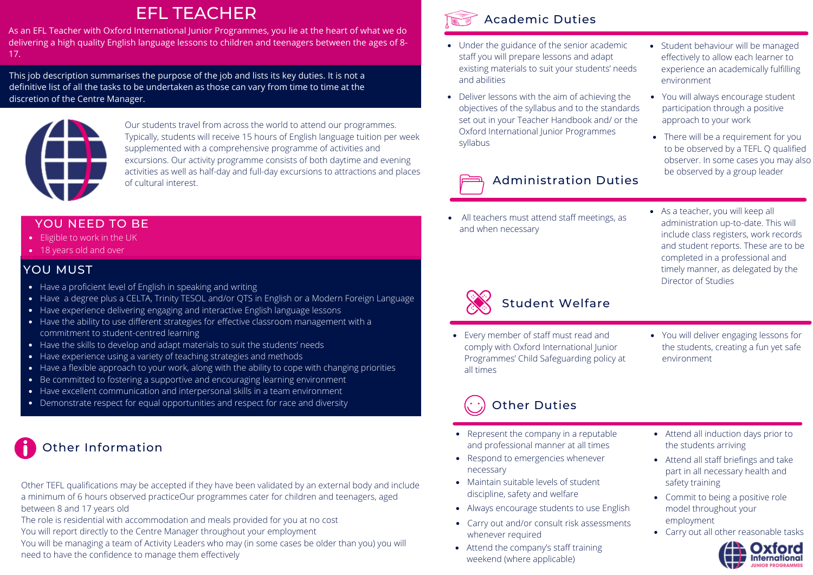## EFL TEACHER

As an EFL Teacher with Oxford International Junior Programmes, you lie at the heart of what we do delivering a high quality English language lessons to children and teenagers between the ages of 8- 17.

This job description summarises the purpose of the job and lists its key duties. It is not a definitive list of all the tasks to be undertaken as those can vary from time to time at the discretion of the Centre Manager.



Our students travel from across the world to attend our programmes. Typically, students will receive 15 hours of English language tuition per week supplemented with a comprehensive programme of activities and excursions. Our activity programme consists of both daytime and evening activities as well as half-day and full-day excursions to attractions and places of cultural interest.

#### YOU NEED TO BE

- Eligible to work in the UK
- 18 years old and over

#### YOU MUST

- Have a proficient level of English in speaking and writing
- Have a degree plus a CELTA, Trinity TESOL and/or QTS in English or a Modern Foreign Language
- Have experience delivering engaging and interactive English language lessons
- Have the ability to use different strategies for effective classroom management with a commitment to student-centred learning
- Have the skills to develop and adapt materials to suit the students' needs
- Have experience using a variety of teaching strategies and methods
- Have a flexible approach to your work, along with the ability to cope with changing priorities
- Be committed to fostering a supportive and encouraging learning environment
- Have excellent communication and interpersonal skills in a team environment
- Demonstrate respect for equal opportunities and respect for race and diversity

# Other Information

Other TEFL qualifications may be accepted if they have been validated by an external body and include a minimum of 6 hours observed practiceOur programmes cater for children and teenagers, aged between 8 and 17 years old

The role is residential with accommodation and meals provided for you at no cost

You will report directly to the Centre Manager throughout your employment

You will be managing a team of Activity Leaders who may (in some cases be older than you) you will need to have the confidence to manage them effectively



#### Academic Duties

- Under the guidance of the senior academic staff you will prepare lessons and adapt existing materials to suit your students' needs and abilities
- Deliver lessons with the aim of achieving the objectives of the syllabus and to the standards set out in your Teacher Handbook and/ or the Oxford International Junior Programmes syllabus

## Administration Duties

All teachers must attend staff meetings, as and when necessary

- Student behaviour will be managed effectively to allow each learner to experience an academically fulfilling environment
- You will always encourage student participation through a positive approach to your work
- There will be a requirement for you to be observed by a TEFL Q qualified observer. In some cases you may also be observed by a group leader
- As a teacher, you will keep all administration up-to-date. This will include class registers, work records and student reports. These are to be completed in a professional and timely manner, as delegated by the Director of Studies



## Student Welfare

- Every member of staff must read and comply with Oxford International Junior Programmes' Child Safeguarding policy at all times
- You will deliver engaging lessons for the students, creating a fun yet safe environment

## Other Duties

- Represent the company in a reputable and professional manner at all times
- Respond to emergencies whenever necessary
- Maintain suitable levels of student discipline, safety and welfare
- Always encourage students to use English
- Carry out and/or consult risk assessments whenever required
- Attend the company's staff training weekend (where applicable)
- Attend all induction days prior to the students arriving
- Attend all staff briefings and take part in all necessary health and safety training
- Commit to being a positive role model throughout your employment
- Carry out all other reasonable tasks